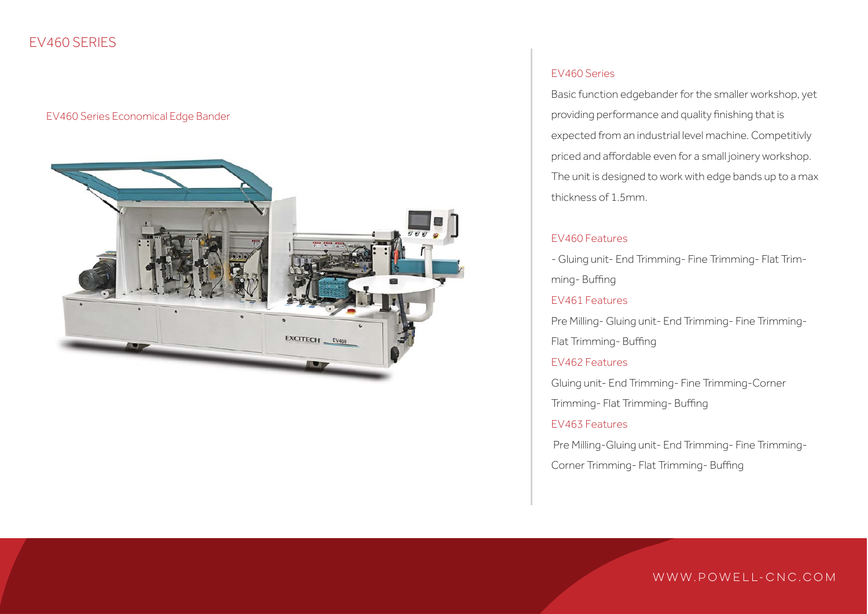## EV460 SERIES

#### EV460 Series Economical Edge Bander



#### EV460 Series

Basic function edgebander for the smaller workshop, yet providing performance and quality finishing that is expected from an industrial level machine. Competitivly priced and affordable even for a small joinery workshop. The unit is designed to work with edge bands up to a max thickness of 1.5mm.

#### EV460 Features

- Gluing unit- End Trimming- Fine Trimming- Flat Trimming- Buffing

#### EV461 Features

Pre Milling- Gluing unit- End Trimming- Fine Trimming-Flat Trimming- Buffing

#### EV462 Features

Gluing unit- End Trimming- Fine Trimming-Corner

Trimming- Flat Trimming- Buffing

#### EV463 Features

Pre Milling-Gluing unit- End Trimming- Fine Trimming-

Corner Trimming- Flat Trimming- Buffing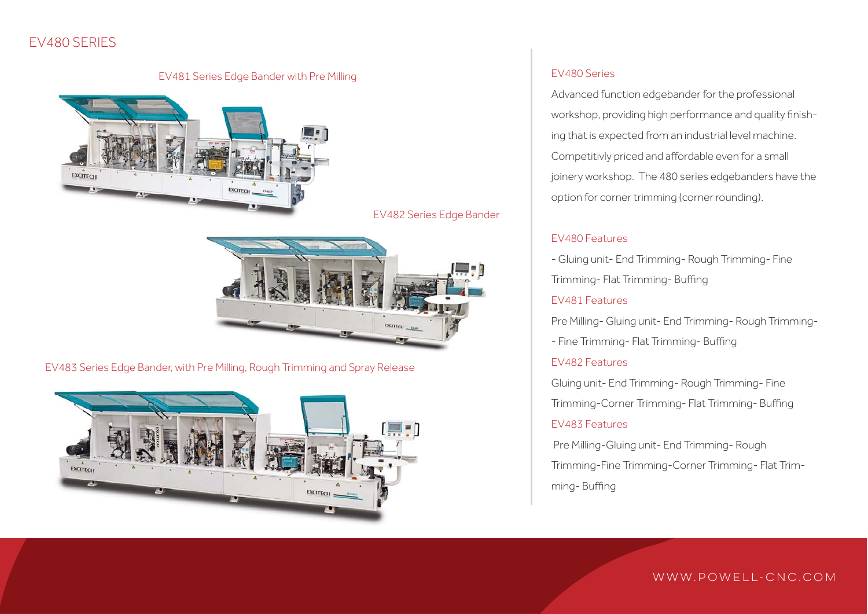# EV480 SERIES

# EV481 Series Edge Bander with Pre Milling



EV482 Series Edge Bander



EV483 Series Edge Bander, with Pre Milling, Rough Trimming and Spray Release



#### EV480 Series

Advanced function edgebander for the professional workshop, providing high performance and quality finishing that is expected from an industrial level machine. Competitivly priced and affordable even for a small joinery workshop. The 480 series edgebanders have the option for corner trimming (corner rounding).

#### EV480 Features

- Gluing unit- End Trimming- Rough Trimming- Fine

Trimming- Flat Trimming- Buffing

#### EV481 Features

Pre Milling- Gluing unit- End Trimming- Rough Trimming-

- Fine Trimming- Flat Trimming- Buffing

#### EV482 Features

Gluing unit- End Trimming- Rough Trimming- Fine Trimming-Corner Trimming- Flat Trimming- Buffing

#### EV483 Features

Pre Milling-Gluing unit- End Trimming- Rough

Trimming-Fine Trimming-Corner Trimming- Flat Trimming- Buffing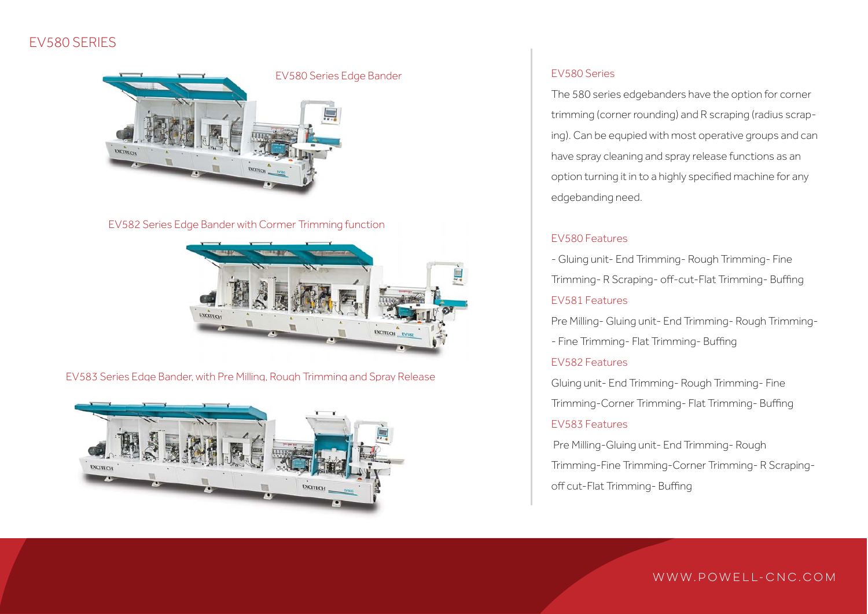# EV580 SERIES



#### EV582 Series Edge Bander with Cormer Trimming function



EV583 Series Edge Bander, with Pre Milling, Rough Trimming and Spray Release



#### EV580 Series

The 580 series edgebanders have the option for corner trimming (corner rounding) and R scraping (radius scraping). Can be equpied with most operative groups and can have spray cleaning and spray release functions as an option turning it in to a highly specified machine for any edgebanding need.

#### EV580 Features

- Gluing unit- End Trimming- Rough Trimming- Fine Trimming- R Scraping- off-cut-Flat Trimming- Buffing EV581 Features

Pre Milling- Gluing unit- End Trimming- Rough Trimming-

- Fine Trimming- Flat Trimming- Buffing

#### EV582 Features

Gluing unit- End Trimming- Rough Trimming- Fine Trimming-Corner Trimming- Flat Trimming- Buffing

#### EV583 Features

Pre Milling-Gluing unit- End Trimming- Rough

Trimming-Fine Trimming-Corner Trimming- R Scraping-

off cut-Flat Trimming- Buffing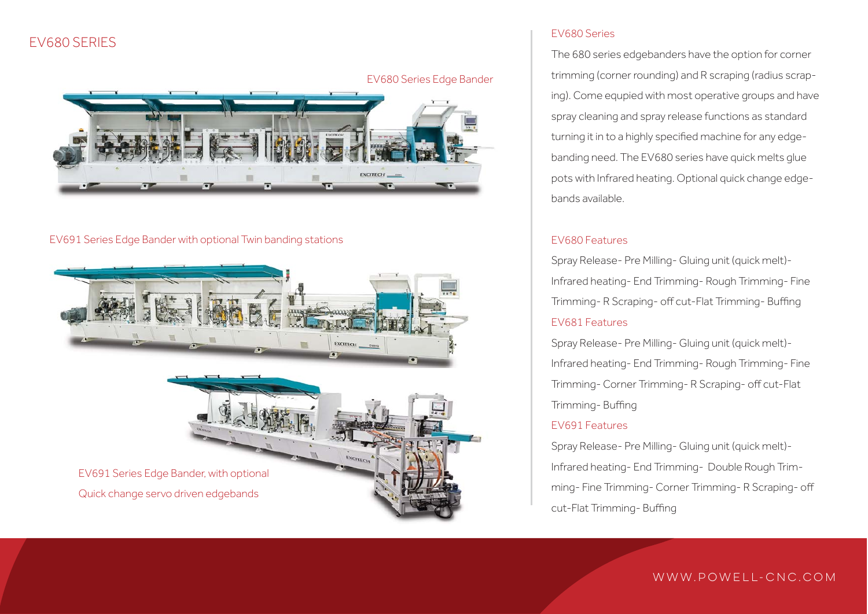## EV680 SERIES



#### EV691 Series Edge Bander with optional Twin banding stations



#### EV680 Series

The 680 series edgebanders have the option for corner trimming (corner rounding) and R scraping (radius scraping). Come equpied with most operative groups and have spray cleaning and spray release functions as standard turning it in to a highly specified machine for any edgebanding need. The EV680 series have quick melts glue pots with Infrared heating. Optional quick change edgebands available.

#### EV680 Features

Spray Release- Pre Milling- Gluing unit (quick melt)- Infrared heating- End Trimming- Rough Trimming- Fine Trimming- R Scraping- off cut-Flat Trimming- Buffing EV681 Features

Spray Release- Pre Milling- Gluing unit (quick melt)- Infrared heating- End Trimming- Rough Trimming- Fine Trimming- Corner Trimming- R Scraping- off cut-Flat Trimming- Buffing

#### EV691 Features

Spray Release- Pre Milling- Gluing unit (quick melt)- Infrared heating- End Trimming- Double Rough Trimming- Fine Trimming- Corner Trimming- R Scraping- off cut-Flat Trimming- Buffing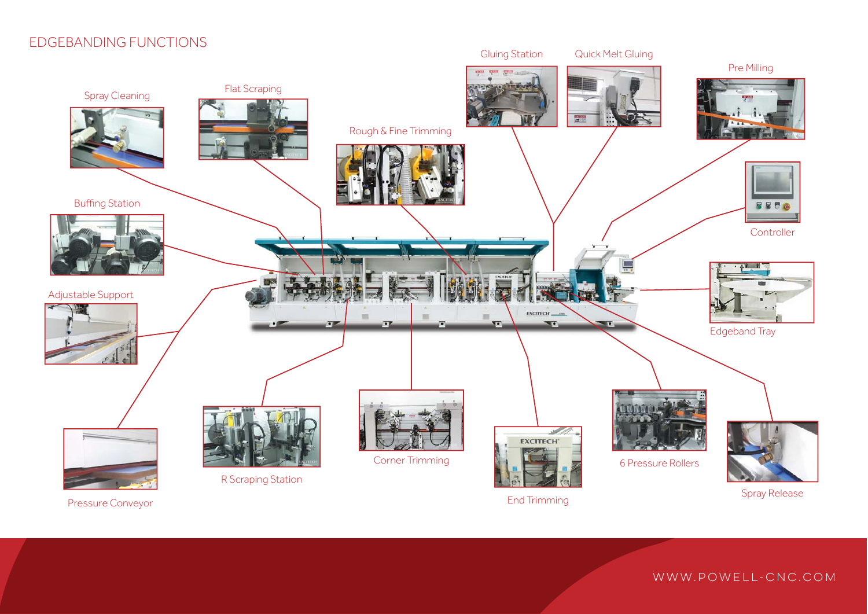# EDGEBANDING FUNCTIONS



Pressure Conveyor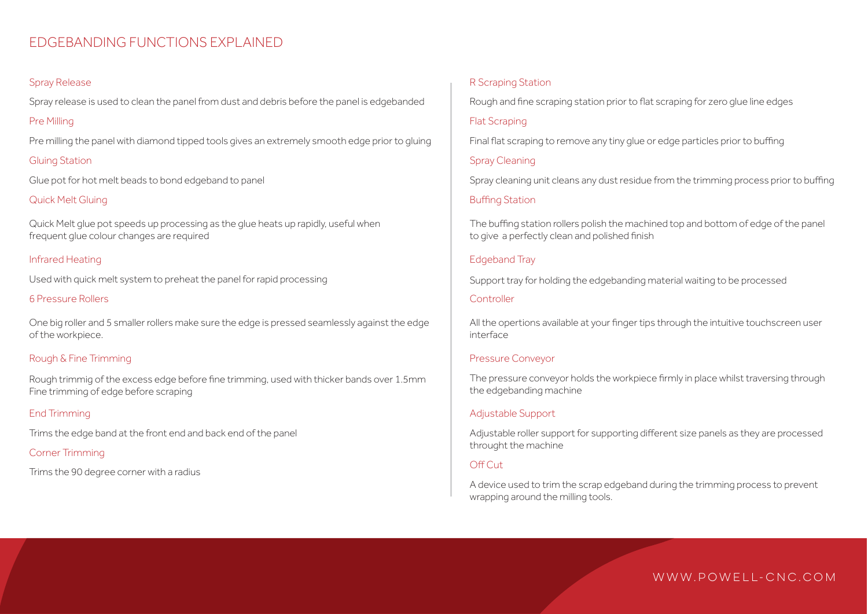## EDGEBANDING FUNCTIONS EXPLAINED

#### Spray Release

Spray release is used to clean the panel from dust and debris before the panel is edgebanded

#### Pre Milling

Pre milling the panel with diamond tipped tools gives an extremely smooth edge prior to gluing

#### Gluing Station

Glue pot for hot melt beads to bond edgeband to panel

#### Quick Melt Gluing

Quick Melt glue pot speeds up processing as the glue heats up rapidly, useful when frequent glue colour changes are required

#### Infrared Heating

Used with quick melt system to preheat the panel for rapid processing

#### 6 Pressure Rollers

One big roller and 5 smaller rollers make sure the edge is pressed seamlessly against the edge of the workpiece.

#### Rough & Fine Trimming

Rough trimmig of the excess edge before fine trimming, used with thicker bands over 1.5mm Fine trimming of edge before scraping

#### End Trimming

Trims the edge band at the front end and back end of the panel

#### Corner Trimming

Trims the 90 degree corner with a radius

#### R Scraping Station

Rough and fine scraping station prior to flat scraping for zero glue line edges

#### Flat Scraping

Final flat scraping to remove any tiny glue or edge particles prior to buffing

#### Spray Cleaning

Spray cleaning unit cleans any dust residue from the trimming process prior to buffing

#### Buffing Station

The buffing station rollers polish the machined top and bottom of edge of the panel to give a perfectly clean and polished finish

#### Edgeband Tray

Support tray for holding the edgebanding material waiting to be processed

#### **Controller**

All the opertions available at your finger tips through the intuitive touchscreen user interface

#### Pressure Conveyor

The pressure conveyor holds the workpiece firmly in place whilst traversing through the edgebanding machine

#### Adjustable Support

Adjustable roller support for supporting different size panels as they are processed throught the machine

#### Off Cut

A device used to trim the scrap edgeband during the trimming process to prevent wrapping around the milling tools.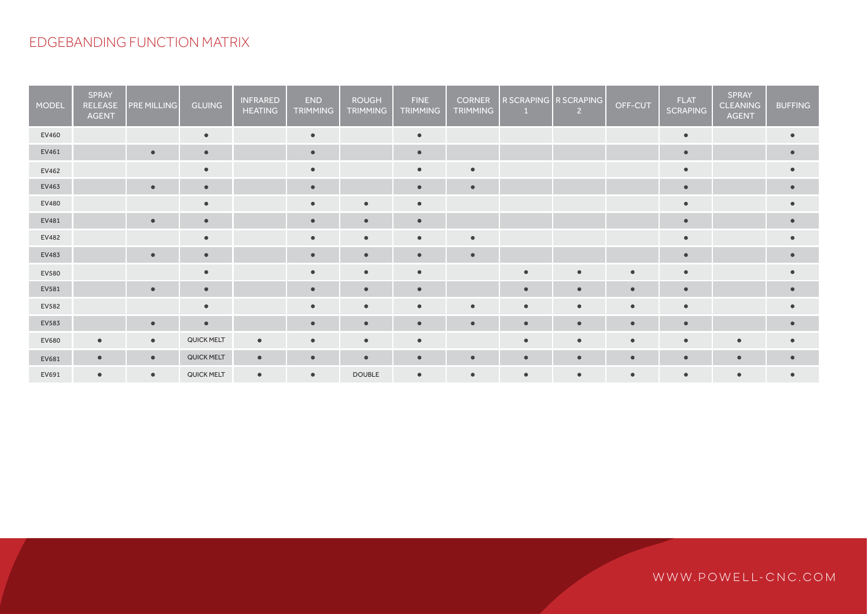# EDGEBANDING FUNCTION MATRIX

| <b>MODEL</b> | <b>SPRAY</b><br>RELEASE<br><b>AGENT</b> | <b>PRE MILLING</b> | <b>GLUING</b>     | <b>INFRARED</b><br><b>HEATING</b> | <b>END</b><br><b>TRIMMING</b> | <b>ROUGH</b><br><b>TRIMMING</b> | <b>FINE</b><br><b>TRIMMING</b> | <b>CORNER</b><br><b>TRIMMING</b> | R SCRAPING R SCRAPING<br>$\blacksquare$ | $\overline{2}$ | OFF-CUT   | <b>FLAT</b><br><b>SCRAPING</b> | SPRAY<br><b>CLEANING</b><br><b>AGENT</b> | <b>BUFFING</b> |
|--------------|-----------------------------------------|--------------------|-------------------|-----------------------------------|-------------------------------|---------------------------------|--------------------------------|----------------------------------|-----------------------------------------|----------------|-----------|--------------------------------|------------------------------------------|----------------|
| EV460        |                                         |                    | $\bullet$         |                                   | $\bullet$                     |                                 | $\bullet$                      |                                  |                                         |                |           |                                |                                          |                |
| EV461        |                                         | $\bullet$          | $\bullet$         |                                   | $\bullet$                     |                                 |                                |                                  |                                         |                |           |                                |                                          |                |
| EV462        |                                         |                    | $\bullet$         |                                   | $\bullet$                     |                                 | $\bullet$                      | $\bullet$                        |                                         |                |           |                                |                                          |                |
| EV463        |                                         | $\bullet$          | $\blacksquare$    |                                   | $\bullet$                     |                                 | $\bullet$                      | $\bullet$                        |                                         |                |           | $\bullet$                      |                                          |                |
| EV480        |                                         |                    | $\bullet$         |                                   | $\bullet$                     | $\epsilon$                      | $\bullet$                      |                                  |                                         |                |           | $\bullet$                      |                                          |                |
| EV481        |                                         | $\bullet$          | $\bullet$         |                                   | $\bullet$                     | $\bullet$                       | $\bullet$                      |                                  |                                         |                |           | $\bullet$                      |                                          | $\bullet$      |
| EV482        |                                         |                    | $\bullet$         |                                   | $\bullet$                     | $\bullet$                       | $\bullet$                      | $\bullet$                        |                                         |                |           |                                |                                          |                |
| EV483        |                                         | $\bullet$          | $\bullet$         |                                   | $\epsilon$                    | $\bullet$                       | $\bullet$                      | $\bullet$                        |                                         |                |           |                                |                                          |                |
| EV580        |                                         |                    | $\blacksquare$    |                                   | $\bullet$                     | $\bullet$                       | $\bullet$                      |                                  | $\bullet$                               | $\bullet$      | $\bullet$ | $\bullet$                      |                                          |                |
| EV581        |                                         | $\epsilon$         | $\bullet$         |                                   |                               |                                 | $\epsilon$                     |                                  |                                         |                |           | $\bullet$                      |                                          |                |
| EV582        |                                         |                    | $\bullet$         |                                   |                               |                                 |                                | ٠                                | $\bullet$                               | $\bullet$      | $\bullet$ | $\bullet$                      |                                          |                |
| EV583        |                                         | $\bullet$          | $\bullet$         |                                   | $\bullet$                     | $\bullet$                       | $\bullet$                      | $\bullet$                        | $\bullet$                               | $\bullet$      | $\bullet$ | $\bullet$                      |                                          | $\bullet$      |
| EV680        | $\bullet$                               | $\bullet$          | <b>QUICK MELT</b> | $\bullet$                         | $\bullet$                     | $\bullet$                       | $\bullet$                      |                                  | $\bullet$                               | $\bullet$      | $\bullet$ | $\bullet$                      | $\bullet$                                |                |
| EV681        | $\bullet$                               | $\bullet$          | QUICK MELT        | $\bullet$                         | $\bullet$                     | $\bullet$                       | $\bullet$                      | $\bullet$                        | $\bullet$                               | $\bullet$      | $\bullet$ | $\bullet$                      | $\bullet$                                |                |
| EV691        | $\bullet$                               | $\bullet$          | <b>QUICK MELT</b> | $\bullet$                         | $\bullet$                     | <b>DOUBLE</b>                   | $\bullet$                      | $\bullet$                        | $\bullet$                               | $\bullet$      | $\bullet$ |                                | $\bullet$                                |                |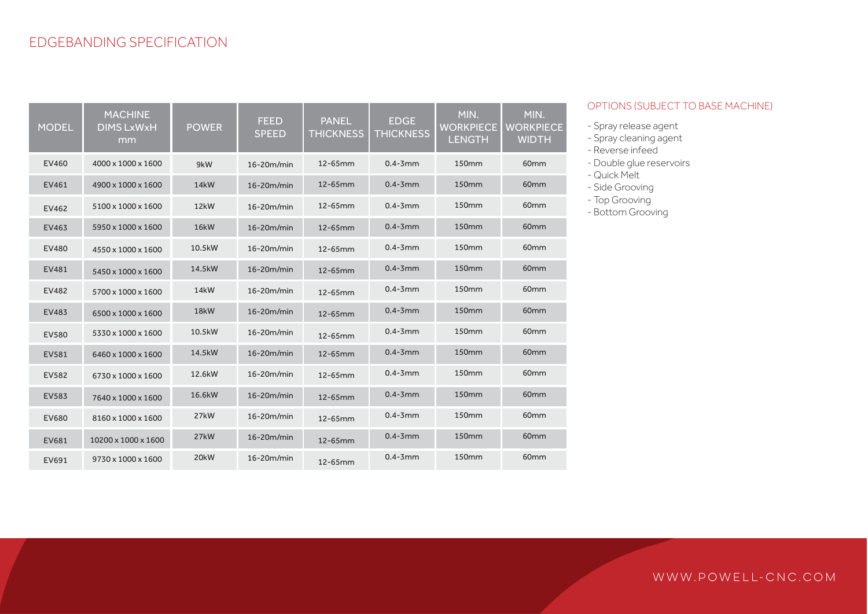| <b>MODEL</b> | <b>MACHINE</b><br><b>DIMS LxWxH</b><br>mm | <b>POWER</b>      | <b>FEED</b><br><b>SPEED</b> | <b>PANEL</b><br><b>THICKNESS</b> | <b>EDGE</b><br><b>THICKNESS</b> | MIN.<br><b>WORKPIECE</b><br><b>LENGTH</b> | MIN.<br><b>WORKPIECE</b><br><b>WIDTH</b> |
|--------------|-------------------------------------------|-------------------|-----------------------------|----------------------------------|---------------------------------|-------------------------------------------|------------------------------------------|
| <b>EV460</b> | 4000 x 1000 x 1600                        | 9kW               | 16-20m/min                  | 12-65mm                          | $0.4 - 3$ mm                    | <b>150mm</b>                              | 60 <sub>mm</sub>                         |
| EV461        | 4900 x 1000 x 1600                        | <b>14kW</b>       | $16 - 20m/min$              | 12-65mm                          | $0.4 - 3$ mm                    | 150 <sub>mm</sub>                         | 60 <sub>mm</sub>                         |
| EV462        | 5100 x 1000 x 1600                        | 12 <sub>k</sub> W | $16 - 20m/min$              | 12-65mm                          | $0.4 - 3$ mm                    | 150mm                                     | 60mm                                     |
| <b>EV463</b> | 5950 x 1000 x 1600                        | <b>16kW</b>       | 16-20m/min                  | 12-65mm                          | $0.4 - 3$ mm                    | 150 <sub>mm</sub>                         | 60 <sub>mm</sub>                         |
| <b>EV480</b> | 4550 x 1000 x 1600                        | 10.5kW            | $16 - 20m/min$              | 12-65mm                          | $0.4 - 3$ mm                    | <b>150mm</b>                              | 60 <sub>mm</sub>                         |
| EV481        | 5450 x 1000 x 1600                        | 14.5kW            | $16 - 20m/min$              | 12-65mm                          | $0.4 - 3$ mm                    | 150mm                                     | 60 <sub>mm</sub>                         |
| EV482        | 5700 x 1000 x 1600                        | <b>14kW</b>       | $16 - 20m/min$              | 12-65mm                          | $0.4 - 3$ mm                    | <b>150mm</b>                              | 60 <sub>mm</sub>                         |
| EV483        | 6500 x 1000 x 1600                        | 18 <sub>k</sub> W | 16-20m/min                  | 12-65mm                          | $0.4 - 3$ mm                    | <b>150mm</b>                              | 60mm                                     |
| <b>EV580</b> | 5330 x 1000 x 1600                        | 10.5kW            | $16 - 20m/min$              | 12-65mm                          | $0.4 - 3$ mm                    | <b>150mm</b>                              | 60 <sub>mm</sub>                         |
| EV581        | 6460 x 1000 x 1600                        | 14.5kW            | $16 - 20m/min$              | 12-65mm                          | $0.4 - 3$ mm                    | <b>150mm</b>                              | 60mm                                     |
| EV582        | 6730 x 1000 x 1600                        | 12.6kW            | $16 - 20m/min$              | 12-65mm                          | $0.4 - 3$ mm                    | <b>150mm</b>                              | 60 <sub>mm</sub>                         |
| EV583        | 7640 x 1000 x 1600                        | 16.6kW            | $16 - 20m/min$              | 12-65mm                          | $0.4 - 3$ mm                    | <b>150mm</b>                              | 60 <sub>mm</sub>                         |
| <b>EV680</b> | 8160 x 1000 x 1600                        | 27kW              | $16 - 20m/min$              | 12-65mm                          | $0.4 - 3$ mm                    | 150mm                                     | 60 <sub>mm</sub>                         |
| EV681        | 10200 x 1000 x 1600                       | 27 <sub>k</sub> W | $16 - 20m/min$              | 12-65mm                          | $0.4 - 3$ mm                    | <b>150mm</b>                              | 60mm                                     |
| EV691        | 9730 x 1000 x 1600                        | 20 <sub>k</sub> W | 16-20m/min                  | 12-65mm                          | $0.4 - 3$ mm                    | <b>150mm</b>                              | 60 <sub>mm</sub>                         |

#### OPTIONS (SUBJECT TO BASE MACHINE)

- Spray release agent
- Spray cleaning agent
- Reverse infeed
- Double glue reservoirs
- Quick Melt
- Side Grooving
- Top Grooving
- Bottom Grooving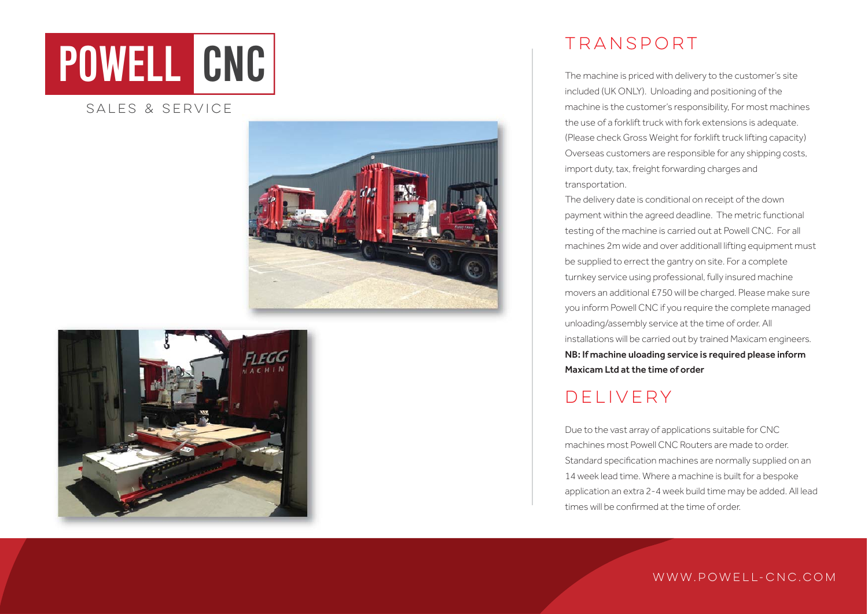# **POWELL CNC**

### SALES & SERVICE





# TRANSPORT

The machine is priced with delivery to the customer's site included (UK ONLY). Unloading and positioning of the machine is the customer's responsibility, For most machines the use of a forklift truck with fork extensions is adequate. (Please check Gross Weight for forklift truck lifting capacity) Overseas customers are responsible for any shipping costs, import duty, tax, freight forwarding charges and transportation.

The delivery date is conditional on receipt of the down payment within the agreed deadline. The metric functional testing of the machine is carried out at Powell CNC. For all machines 2m wide and over additionall lifting equipment must be supplied to errect the gantry on site. For a complete turnkey service using professional, fully insured machine movers an additional £750 will be charged. Please make sure you inform Powell CNC if you require the complete managed unloading/assembly service at the time of order. All installations will be carried out by trained Maxicam engineers. NB: If machine uloading service is required please inform Maxicam Ltd at the time of order

# DELIVERY

Due to the vast array of applications suitable for CNC machines most Powell CNC Routers are made to order. Standard specification machines are normally supplied on an 14 week lead time. Where a machine is built for a bespoke application an extra 2-4 week build time may be added. All lead times will be confirmed at the time of order.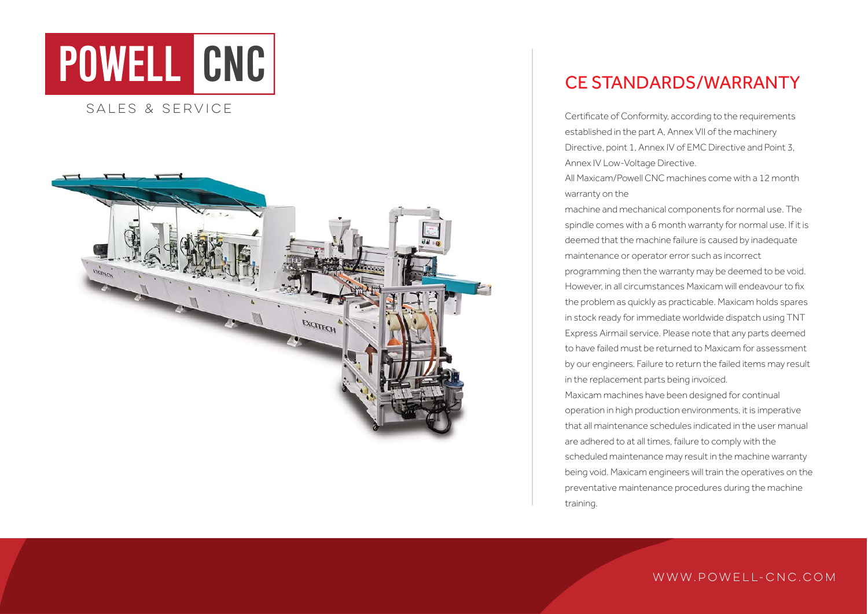



# CE STANDARDS/WARRANTY

Certificate of Conformity, according to the requirements established in the part A, Annex VII of the machinery Directive, point 1, Annex IV of EMC Directive and Point 3, Annex IV Low-Voltage Directive.

All Maxicam/Powell CNC machines come with a 12 month warranty on the

machine and mechanical components for normal use. The spindle comes with a 6 month warranty for normal use. If it is deemed that the machine failure is caused by inadequate maintenance or operator error such as incorrect

programming then the warranty may be deemed to be void. However, in all circumstances Maxicam will endeavour to fix the problem as quickly as practicable. Maxicam holds spares in stock ready for immediate worldwide dispatch using TNT Express Airmail service. Please note that any parts deemed to have failed must be returned to Maxicam for assessment by our engineers. Failure to return the failed items may result in the replacement parts being invoiced. Maxicam machines have been designed for continual operation in high production environments, it is imperative that all maintenance schedules indicated in the user manual are adhered to at all times, failure to comply with the scheduled maintenance may result in the machine warranty being void. Maxicam engineers will train the operatives on the

preventative maintenance procedures during the machine training.